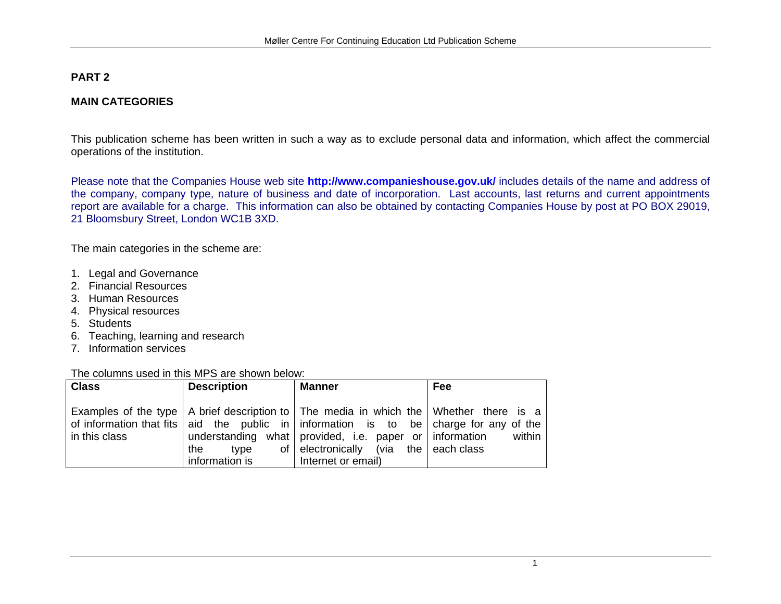# **PART 2**

#### **MAIN CATEGORIES**

This publication scheme has been written in such a way as to exclude personal data and information, which affect the commercial operations of the institution.

Please note that the Companies House web site **<http://www.companieshouse.gov.uk/>** includes details of the name and address of the company, company type, nature of business and date of incorporation. Last accounts, last returns and current appointments report are available for a charge. This information can also be obtained by contacting Companies House by post at PO BOX 29019, 21 Bloomsbury Street, London WC1B 3XD.

The main categories in the scheme are:

- 1. Legal and Governance
- 2. Financial Resources
- 3. Human Resources
- 4. Physical resources
- 5. Students
- 6. Teaching, learning and research
- 7. Information services

The columns used in this MPS are shown below:

| <b>Class</b>  | <b>Description</b>            | <b>Manner</b>                                                                                                                                                                                                                                                                                                 | Fee    |
|---------------|-------------------------------|---------------------------------------------------------------------------------------------------------------------------------------------------------------------------------------------------------------------------------------------------------------------------------------------------------------|--------|
| in this class | the<br>tvpe<br>information is | Examples of the type   A brief description to   The media in which the   Whether there is a<br>of information that fits aid the public in information is to be charge for any of the<br>understanding what provided, i.e. paper or information<br>of electronically (via the each class<br>Internet or email) | within |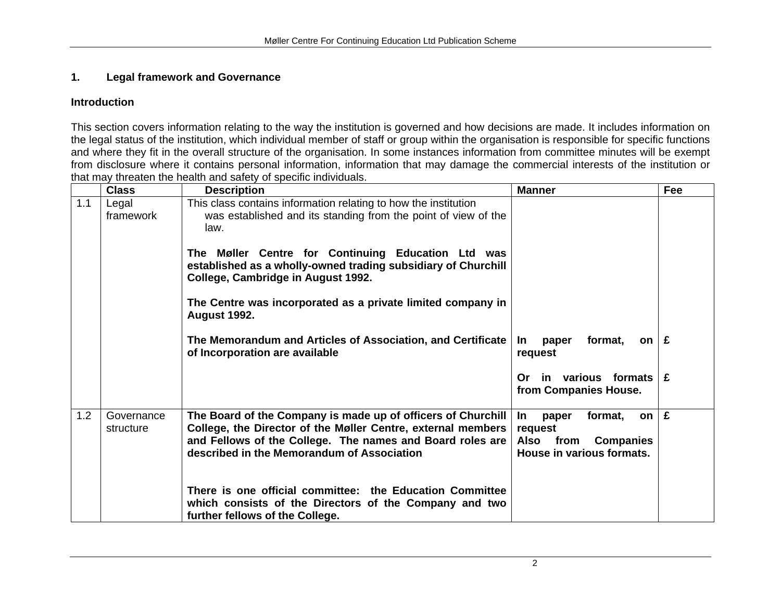# **1. Legal framework and Governance**

#### **Introduction**

This section covers information relating to the way the institution is governed and how decisions are made. It includes information on the legal status of the institution, which individual member of staff or group within the organisation is responsible for specific functions and where they fit in the overall structure of the organisation. In some instances information from committee minutes will be exempt from disclosure where it contains personal information, information that may damage the commercial interests of the institution or that may threaten the health and safety of specific individuals.

|     | <b>Class</b>            | <b>Description</b>                                                                                                                                                                                                                      | <b>Manner</b>                                                                                                  | Fee |
|-----|-------------------------|-----------------------------------------------------------------------------------------------------------------------------------------------------------------------------------------------------------------------------------------|----------------------------------------------------------------------------------------------------------------|-----|
| 1.1 | Legal<br>framework      | This class contains information relating to how the institution<br>was established and its standing from the point of view of the<br>law.                                                                                               |                                                                                                                |     |
|     |                         | The Møller Centre for Continuing Education Ltd was<br>established as a wholly-owned trading subsidiary of Churchill<br>College, Cambridge in August 1992.                                                                               |                                                                                                                |     |
|     |                         | The Centre was incorporated as a private limited company in<br><b>August 1992.</b>                                                                                                                                                      |                                                                                                                |     |
|     |                         | The Memorandum and Articles of Association, and Certificate<br>of Incorporation are available                                                                                                                                           | format,<br><u>In</u><br>paper<br>on l<br>request                                                               | £   |
|     |                         |                                                                                                                                                                                                                                         | in various formats<br>Or.<br>from Companies House.                                                             | £   |
| 1.2 | Governance<br>structure | The Board of the Company is made up of officers of Churchill<br>College, the Director of the Møller Centre, external members<br>and Fellows of the College. The names and Board roles are<br>described in the Memorandum of Association | <u>In</u><br>format,<br>paper<br>on l<br>request<br>Also from<br><b>Companies</b><br>House in various formats. | £   |
|     |                         | There is one official committee: the Education Committee<br>which consists of the Directors of the Company and two<br>further fellows of the College.                                                                                   |                                                                                                                |     |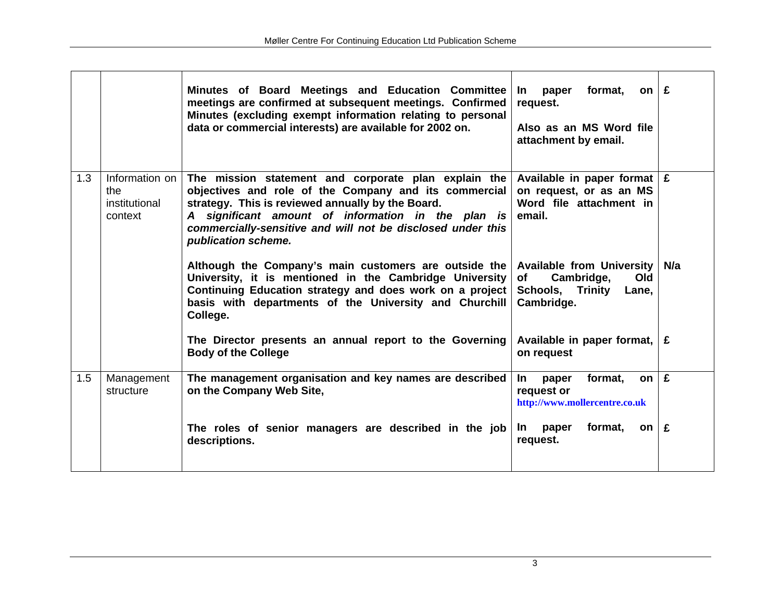|     |                                                   | Minutes of Board Meetings and Education Committee<br>meetings are confirmed at subsequent meetings. Confirmed<br>Minutes (excluding exempt information relating to personal<br>data or commercial interests) are available for 2002 on.                                                                        | format,<br>on $E$<br>paper<br>$\ln$<br>request.<br>Also as an MS Word file<br>attachment by email.            |     |
|-----|---------------------------------------------------|----------------------------------------------------------------------------------------------------------------------------------------------------------------------------------------------------------------------------------------------------------------------------------------------------------------|---------------------------------------------------------------------------------------------------------------|-----|
| 1.3 | Information on<br>the<br>institutional<br>context | The mission statement and corporate plan explain the<br>objectives and role of the Company and its commercial<br>strategy. This is reviewed annually by the Board.<br>A significant amount of information in the plan is<br>commercially-sensitive and will not be disclosed under this<br>publication scheme. | Available in paper format $\mathbf{E}$<br>on request, or as an MS<br>Word file attachment in<br>email.        |     |
|     |                                                   | Although the Company's main customers are outside the<br>University, it is mentioned in the Cambridge University<br>Continuing Education strategy and does work on a project<br>basis with departments of the University and Churchill<br>College.                                                             | <b>Available from University</b><br>Cambridge,<br>Old<br>of<br><b>Schools, Trinity</b><br>Lane,<br>Cambridge. | N/a |
|     |                                                   | The Director presents an annual report to the Governing<br><b>Body of the College</b>                                                                                                                                                                                                                          | Available in paper format,<br>on request                                                                      | £   |
| 1.5 | Management<br>structure                           | The management organisation and key names are described<br>on the Company Web Site,                                                                                                                                                                                                                            | format,<br>In.<br>paper<br>on<br>request or<br>http://www.mollercentre.co.uk                                  | £   |
|     |                                                   | The roles of senior managers are described in the job<br>descriptions.                                                                                                                                                                                                                                         | format,<br>paper<br>$\mathsf{In}$<br>on<br>request.                                                           | £   |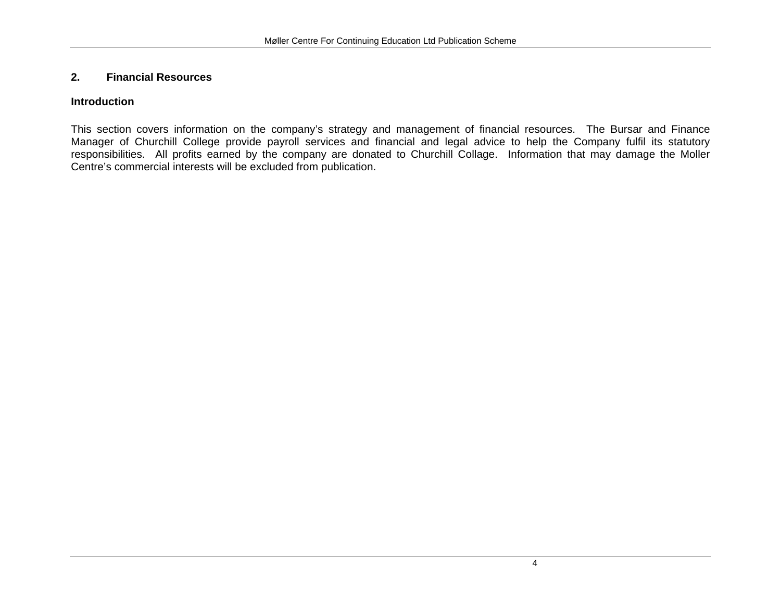# **2. Financial Resources**

#### **Introduction**

This section covers information on the company's strategy and management of financial resources. The Bursar and Finance Manager of Churchill College provide payroll services and financial and legal advice to help the Company fulfil its statutory responsibilities. All profits earned by the company are donated to Churchill Collage. Information that may damage the Moller Centre's commercial interests will be excluded from publication.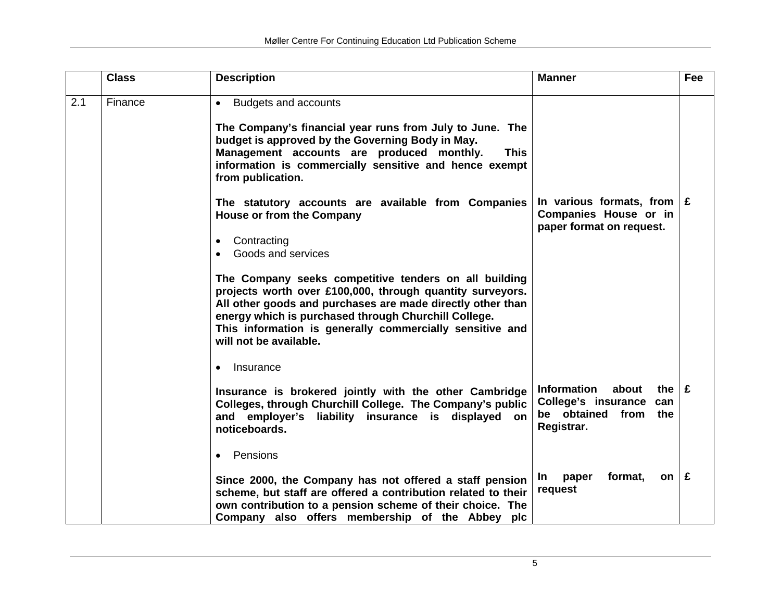|     | <b>Class</b> | <b>Description</b>                                                                                                                                                                                                                                                                                                                                                                                                                                                                                                                                                                                                                                                                                                                                                    | <b>Manner</b>                                                                                                                                                       | Fee |
|-----|--------------|-----------------------------------------------------------------------------------------------------------------------------------------------------------------------------------------------------------------------------------------------------------------------------------------------------------------------------------------------------------------------------------------------------------------------------------------------------------------------------------------------------------------------------------------------------------------------------------------------------------------------------------------------------------------------------------------------------------------------------------------------------------------------|---------------------------------------------------------------------------------------------------------------------------------------------------------------------|-----|
| 2.1 | Finance      | <b>Budgets and accounts</b><br>$\bullet$<br>The Company's financial year runs from July to June. The<br>budget is approved by the Governing Body in May.<br>Management accounts are produced monthly.<br><b>This</b><br>information is commercially sensitive and hence exempt<br>from publication.<br>The statutory accounts are available from Companies<br><b>House or from the Company</b><br>Contracting<br>$\bullet$<br>Goods and services<br>$\bullet$<br>The Company seeks competitive tenders on all building<br>projects worth over £100,000, through quantity surveyors.<br>All other goods and purchases are made directly other than<br>energy which is purchased through Churchill College.<br>This information is generally commercially sensitive and | In various formats, from $E$<br><b>Companies House or in</b><br>paper format on request.                                                                            |     |
|     |              | will not be available.<br>Insurance<br>$\bullet$<br>Insurance is brokered jointly with the other Cambridge<br>Colleges, through Churchill College. The Company's public<br>and employer's liability insurance is displayed<br>on<br>noticeboards.<br>Pensions<br>$\bullet$<br>Since 2000, the Company has not offered a staff pension<br>scheme, but staff are offered a contribution related to their<br>own contribution to a pension scheme of their choice. The<br>Company also offers membership of the Abbey plc                                                                                                                                                                                                                                                | <b>Information</b><br>about<br>the $E$<br>College's insurance<br>can<br>be obtained from<br>the<br>Registrar.<br>format,<br>on $E$<br><u>In</u><br>paper<br>request |     |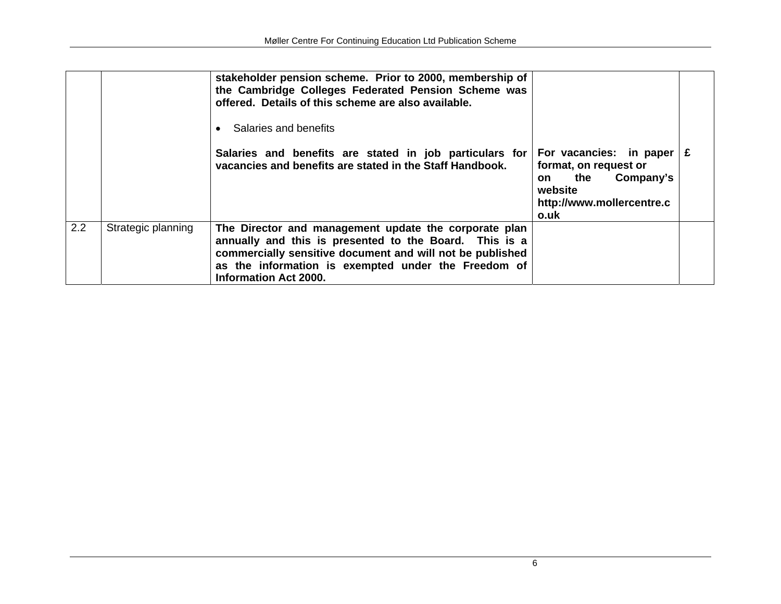|     |                    | stakeholder pension scheme. Prior to 2000, membership of<br>the Cambridge Colleges Federated Pension Scheme was<br>offered. Details of this scheme are also available.<br>Salaries and benefits<br>$\bullet$                                                        |                                                                                                                             |  |
|-----|--------------------|---------------------------------------------------------------------------------------------------------------------------------------------------------------------------------------------------------------------------------------------------------------------|-----------------------------------------------------------------------------------------------------------------------------|--|
|     |                    | Salaries and benefits are stated in job particulars for<br>vacancies and benefits are stated in the Staff Handbook.                                                                                                                                                 | For vacancies: in paper<br>format, on request or<br>Company's<br>the<br>on.<br>website<br>http://www.mollercentre.c<br>o.uk |  |
| 2.2 | Strategic planning | The Director and management update the corporate plan<br>annually and this is presented to the Board. This is a<br>commercially sensitive document and will not be published<br>as the information is exempted under the Freedom of<br><b>Information Act 2000.</b> |                                                                                                                             |  |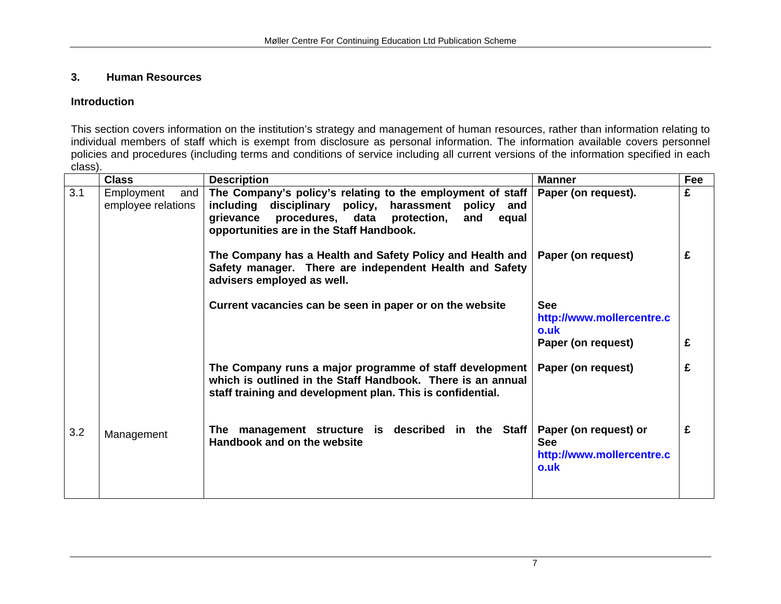# **3. Human Resources**

#### **Introduction**

This section covers information on the institution's strategy and management of human resources, rather than information relating to individual members of staff which is exempt from disclosure as personal information. The information available covers personnel policies and procedures (including terms and conditions of service including all current versions of the information specified in each class).

|     | <b>Class</b>                            | <b>Description</b>                                                                                                                                                                                                                      | <b>Manner</b>                                                            | Fee |
|-----|-----------------------------------------|-----------------------------------------------------------------------------------------------------------------------------------------------------------------------------------------------------------------------------------------|--------------------------------------------------------------------------|-----|
| 3.1 | Employment<br>and<br>employee relations | The Company's policy's relating to the employment of staff<br>including<br>disciplinary policy, harassment<br>policy<br>and<br>procedures, data<br>grievance<br>protection,<br>and<br>equal<br>opportunities are in the Staff Handbook. | Paper (on request).                                                      | £   |
|     |                                         | The Company has a Health and Safety Policy and Health and  <br>Safety manager. There are independent Health and Safety<br>advisers employed as well.                                                                                    | Paper (on request)                                                       | £   |
|     |                                         | Current vacancies can be seen in paper or on the website                                                                                                                                                                                | <b>See</b><br>http://www.mollercentre.c<br>o.uk                          |     |
|     |                                         |                                                                                                                                                                                                                                         | Paper (on request)                                                       | £   |
|     |                                         | The Company runs a major programme of staff development<br>which is outlined in the Staff Handbook. There is an annual<br>staff training and development plan. This is confidential.                                                    | Paper (on request)                                                       | £   |
| 3.2 | Management                              | The management structure is described in the Staff<br>Handbook and on the website                                                                                                                                                       | Paper (on request) or<br><b>See</b><br>http://www.mollercentre.c<br>o.uk | £   |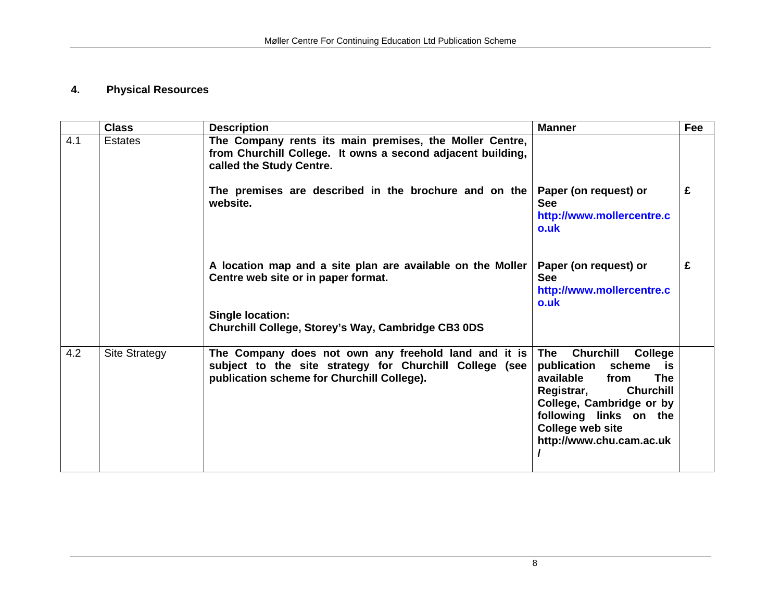# **4. Physical Resources**

|     | <b>Class</b>         | <b>Description</b>                                                                                                                                            | <b>Manner</b>                                                                                                                                                                                                                                         | Fee |
|-----|----------------------|---------------------------------------------------------------------------------------------------------------------------------------------------------------|-------------------------------------------------------------------------------------------------------------------------------------------------------------------------------------------------------------------------------------------------------|-----|
| 4.1 | <b>Estates</b>       | The Company rents its main premises, the Moller Centre,<br>from Churchill College. It owns a second adjacent building,<br>called the Study Centre.            |                                                                                                                                                                                                                                                       |     |
|     |                      | The premises are described in the brochure and on the<br>website.                                                                                             | Paper (on request) or<br><b>See</b><br>http://www.mollercentre.c<br>o.uk                                                                                                                                                                              | £   |
|     |                      | A location map and a site plan are available on the Moller<br>Centre web site or in paper format.                                                             | Paper (on request) or<br><b>See</b><br>http://www.mollercentre.c<br>o.uk                                                                                                                                                                              | £   |
|     |                      | <b>Single location:</b><br>Churchill College, Storey's Way, Cambridge CB3 0DS                                                                                 |                                                                                                                                                                                                                                                       |     |
| 4.2 | <b>Site Strategy</b> | The Company does not own any freehold land and it is<br>subject to the site strategy for Churchill College (see<br>publication scheme for Churchill College). | <b>The</b><br><b>Churchill</b><br>College<br>publication<br>scheme<br>is i<br>available<br><b>The</b><br>from<br>Registrar,<br><b>Churchill</b><br>College, Cambridge or by<br>following links on the<br>College web site<br>http://www.chu.cam.ac.uk |     |